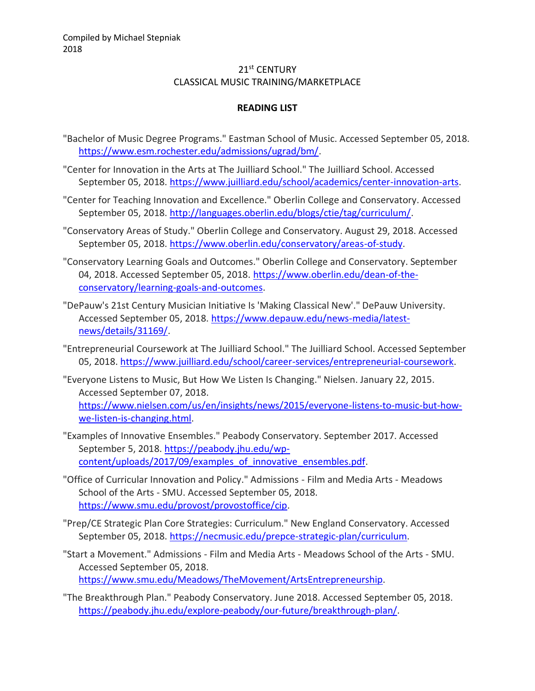## 21st CENTURY CLASSICAL MUSIC TRAINING/MARKETPLACE

## **READING LIST**

- "Bachelor of Music Degree Programs." Eastman School of Music. Accessed September 05, 2018. [https://www.esm.rochester.edu/admissions/ugrad/bm/.](https://www.esm.rochester.edu/admissions/ugrad/bm/)
- "Center for Innovation in the Arts at The Juilliard School." The Juilliard School. Accessed September 05, 2018. [https://www.juilliard.edu/school/academics/center-innovation-arts.](https://www.juilliard.edu/school/academics/center-innovation-arts)
- "Center for Teaching Innovation and Excellence." Oberlin College and Conservatory. Accessed September 05, 2018. [http://languages.oberlin.edu/blogs/ctie/tag/curriculum/.](http://languages.oberlin.edu/blogs/ctie/tag/curriculum/)
- "Conservatory Areas of Study." Oberlin College and Conservatory. August 29, 2018. Accessed September 05, 2018. [https://www.oberlin.edu/conservatory/areas-of-study.](https://www.oberlin.edu/conservatory/areas-of-study)
- "Conservatory Learning Goals and Outcomes." Oberlin College and Conservatory. September 04, 2018. Accessed September 05, 2018. [https://www.oberlin.edu/dean-of-the](https://www.oberlin.edu/dean-of-the-conservatory/learning-goals-and-outcomes)[conservatory/learning-goals-and-outcomes.](https://www.oberlin.edu/dean-of-the-conservatory/learning-goals-and-outcomes)
- "DePauw's 21st Century Musician Initiative Is 'Making Classical New'." DePauw University. Accessed September 05, 2018. [https://www.depauw.edu/news-media/latest](https://www.depauw.edu/news-media/latest-news/details/31169/)[news/details/31169/.](https://www.depauw.edu/news-media/latest-news/details/31169/)
- "Entrepreneurial Coursework at The Juilliard School." The Juilliard School. Accessed September 05, 2018. [https://www.juilliard.edu/school/career-services/entrepreneurial-coursework.](https://www.juilliard.edu/school/career-services/entrepreneurial-coursework)
- "Everyone Listens to Music, But How We Listen Is Changing." Nielsen. January 22, 2015. Accessed September 07, 2018. [https://www.nielsen.com/us/en/insights/news/2015/everyone-listens-to-music-but-how](https://www.nielsen.com/us/en/insights/news/2015/everyone-listens-to-music-but-how-we-listen-is-changing.html)[we-listen-is-changing.html.](https://www.nielsen.com/us/en/insights/news/2015/everyone-listens-to-music-but-how-we-listen-is-changing.html)
- "Examples of Innovative Ensembles." Peabody Conservatory. September 2017. Accessed September 5, 2018. [https://peabody.jhu.edu/wp](https://peabody.jhu.edu/wp-content/uploads/2017/09/examples_of_innovative_ensembles.pdf)[content/uploads/2017/09/examples\\_of\\_innovative\\_ensembles.pdf.](https://peabody.jhu.edu/wp-content/uploads/2017/09/examples_of_innovative_ensembles.pdf)
- "Office of Curricular Innovation and Policy." Admissions Film and Media Arts Meadows School of the Arts - SMU. Accessed September 05, 2018. [https://www.smu.edu/provost/provostoffice/cip.](https://www.smu.edu/provost/provostoffice/cip)
- "Prep/CE Strategic Plan Core Strategies: Curriculum." New England Conservatory. Accessed September 05, 2018. [https://necmusic.edu/prepce-strategic-plan/curriculum.](https://necmusic.edu/prepce-strategic-plan/curriculum)
- "Start a Movement." Admissions Film and Media Arts Meadows School of the Arts SMU. Accessed September 05, 2018. [https://www.smu.edu/Meadows/TheMovement/ArtsEntrepreneurship.](https://www.smu.edu/Meadows/TheMovement/ArtsEntrepreneurship)
- "The Breakthrough Plan." Peabody Conservatory. June 2018. Accessed September 05, 2018. [https://peabody.jhu.edu/explore-peabody/our-future/breakthrough-plan/.](https://peabody.jhu.edu/explore-peabody/our-future/breakthrough-plan/)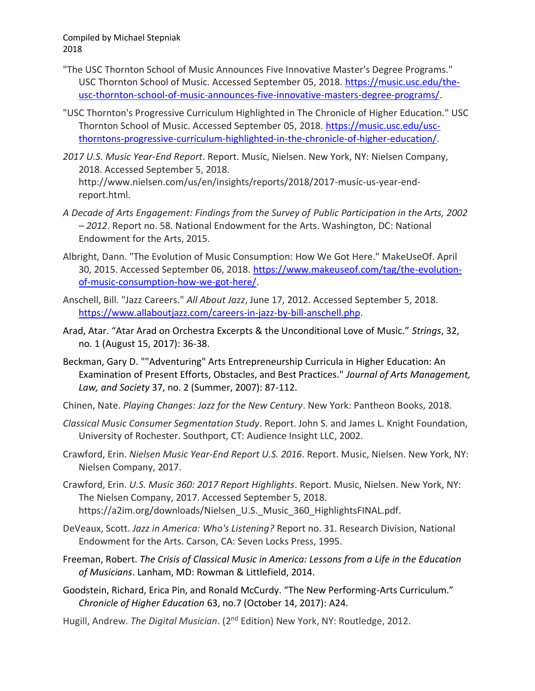- "The USC Thornton School of Music Announces Five Innovative Master's Degree Programs." USC Thornton School of Music. Accessed September 05, 2018. [https://music.usc.edu/the](https://music.usc.edu/the-usc-thornton-school-of-music-announces-five-innovative-masters-degree-programs/)[usc-thornton-school-of-music-announces-five-innovative-masters-degree-programs/.](https://music.usc.edu/the-usc-thornton-school-of-music-announces-five-innovative-masters-degree-programs/)
- "USC Thornton's Progressive Curriculum Highlighted in The Chronicle of Higher Education." USC Thornton School of Music. Accessed September 05, 2018. [https://music.usc.edu/usc](https://music.usc.edu/usc-thorntons-progressive-curriculum-highlighted-in-the-chronicle-of-higher-education/)[thorntons-progressive-curriculum-highlighted-in-the-chronicle-of-higher-education/.](https://music.usc.edu/usc-thorntons-progressive-curriculum-highlighted-in-the-chronicle-of-higher-education/)
- *2017 U.S. Music Year-End Report*. Report. Music, Nielsen. New York, NY: Nielsen Company, 2018. Accessed September 5, 2018. http://www.nielsen.com/us/en/insights/reports/2018/2017-music-us-year-endreport.html.
- *A Decade of Arts Engagement: Findings from the Survey of Public Participation in the Arts, 2002 – 2012*. Report no. 58. National Endowment for the Arts. Washington, DC: National Endowment for the Arts, 2015.
- Albright, Dann. "The Evolution of Music Consumption: How We Got Here." MakeUseOf. April 30, 2015. Accessed September 06, 2018. [https://www.makeuseof.com/tag/the-evolution](https://www.makeuseof.com/tag/the-evolution-of-music-consumption-how-we-got-here/)[of-music-consumption-how-we-got-here/.](https://www.makeuseof.com/tag/the-evolution-of-music-consumption-how-we-got-here/)
- Anschell, Bill. "Jazz Careers." *All About Jazz*, June 17, 2012. Accessed September 5, 2018. [https://www.allaboutjazz.com/careers-in-jazz-by-bill-anschell.php.](https://www.allaboutjazz.com/careers-in-jazz-by-bill-anschell.php)
- Arad, Atar. "Atar Arad on Orchestra Excerpts & the Unconditional Love of Music." *Strings*, 32, no. 1 (August 15, 2017): 36-38.
- Beckman, Gary D. ""Adventuring" Arts Entrepreneurship Curricula in Higher Education: An Examination of Present Efforts, Obstacles, and Best Practices." *Journal of Arts Management, Law, and Society* 37, no. 2 (Summer, 2007): 87-112.
- Chinen, Nate. *Playing Changes: Jazz for the New Century*. New York: Pantheon Books, 2018.
- *Classical Music Consumer Segmentation Study*. Report. John S. and James L. Knight Foundation, University of Rochester. Southport, CT: Audience Insight LLC, 2002.
- Crawford, Erin. *Nielsen Music Year-End Report U.S. 2016*. Report. Music, Nielsen. New York, NY: Nielsen Company, 2017.
- Crawford, Erin. *U.S. Music 360: 2017 Report Highlights*. Report. Music, Nielsen. New York, NY: The Nielsen Company, 2017. Accessed September 5, 2018. https://a2im.org/downloads/Nielsen\_U.S. Music\_360\_HighlightsFINAL.pdf.
- DeVeaux, Scott. *Jazz in America: Who's Listening?* Report no. 31. Research Division, National Endowment for the Arts. Carson, CA: Seven Locks Press, 1995.
- Freeman, Robert. *The Crisis of Classical Music in America: Lessons from a Life in the Education of Musicians*. Lanham, MD: Rowman & Littlefield, 2014.
- Goodstein, Richard, Erica Pin, and Ronald McCurdy. "The New Performing-Arts Curriculum." *Chronicle of Higher Education* 63, no.7 (October 14, 2017): A24.
- Hugill, Andrew. *The Digital Musician*. (2nd Edition) New York, NY: Routledge, 2012.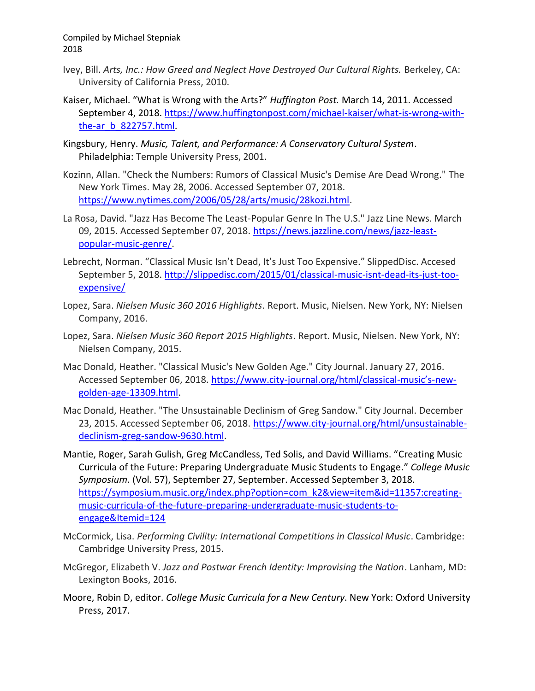- Ivey, Bill. Arts, Inc.: How Greed and Neglect Have Destroyed Our Cultural Rights. Berkeley, CA: University of California Press, 2010.
- Kaiser, Michael. "What is Wrong with the Arts?" *Huffington Post.* March 14, 2011. Accessed September 4, 2018. [https://www.huffingtonpost.com/michael-kaiser/what-is-wrong-with](https://www.huffingtonpost.com/michael-kaiser/what-is-wrong-with-the-ar_b_822757.html)[the-ar\\_b\\_822757.html.](https://www.huffingtonpost.com/michael-kaiser/what-is-wrong-with-the-ar_b_822757.html)
- Kingsbury, Henry. *Music, Talent, and Performance: A Conservatory Cultural System*. Philadelphia: Temple University Press, 2001.
- Kozinn, Allan. "Check the Numbers: Rumors of Classical Music's Demise Are Dead Wrong." The New York Times. May 28, 2006. Accessed September 07, 2018. [https://www.nytimes.com/2006/05/28/arts/music/28kozi.html.](https://www.nytimes.com/2006/05/28/arts/music/28kozi.html)
- La Rosa, David. "Jazz Has Become The Least-Popular Genre In The U.S." Jazz Line News. March 09, 2015. Accessed September 07, 2018. [https://news.jazzline.com/news/jazz-least](https://news.jazzline.com/news/jazz-least-popular-music-genre/)[popular-music-genre/.](https://news.jazzline.com/news/jazz-least-popular-music-genre/)
- Lebrecht, Norman. "Classical Music Isn't Dead, It's Just Too Expensive." SlippedDisc. Accesed September 5, 2018. [http://slippedisc.com/2015/01/classical-music-isnt-dead-its-just-too](http://slippedisc.com/2015/01/classical-music-isnt-dead-its-just-too-expensive/)[expensive/](http://slippedisc.com/2015/01/classical-music-isnt-dead-its-just-too-expensive/)
- Lopez, Sara. *Nielsen Music 360 2016 Highlights*. Report. Music, Nielsen. New York, NY: Nielsen Company, 2016.
- Lopez, Sara. *Nielsen Music 360 Report 2015 Highlights*. Report. Music, Nielsen. New York, NY: Nielsen Company, 2015.
- Mac Donald, Heather. "Classical Music's New Golden Age." City Journal. January 27, 2016. Accessed September 06, 2018. [https://www.city-journal.org/html/classical-](https://www.city-journal.org/html/classical-music)music's-new[golden-age-13309.html.](https://www.city-journal.org/html/classical-music)
- Mac Donald, Heather. "The Unsustainable Declinism of Greg Sandow." City Journal. December 23, 2015. Accessed September 06, 2018. [https://www.city-journal.org/html/unsustainable](https://www.city-journal.org/html/unsustainable-declinism-greg-sandow-9630.html)[declinism-greg-sandow-9630.html.](https://www.city-journal.org/html/unsustainable-declinism-greg-sandow-9630.html)
- Mantie, Roger, Sarah Gulish, Greg McCandless, Ted Solis, and David Williams. "Creating Music Curricula of the Future: Preparing Undergraduate Music Students to Engage." *College Music Symposium.* (Vol. 57), September 27, September. Accessed September 3, 2018. [https://symposium.music.org/index.php?option=com\\_k2&view=item&id=11357:creating](https://symposium.music.org/index.php?option=com_k2&view=item&id=11357:creating-music-curricula-of-the-future-preparing-undergraduate-music-students-to-engage&Itemid=124)[music-curricula-of-the-future-preparing-undergraduate-music-students-to](https://symposium.music.org/index.php?option=com_k2&view=item&id=11357:creating-music-curricula-of-the-future-preparing-undergraduate-music-students-to-engage&Itemid=124)[engage&Itemid=124](https://symposium.music.org/index.php?option=com_k2&view=item&id=11357:creating-music-curricula-of-the-future-preparing-undergraduate-music-students-to-engage&Itemid=124)
- McCormick, Lisa. *Performing Civility: International Competitions in Classical Music*. Cambridge: Cambridge University Press, 2015.
- McGregor, Elizabeth V. *Jazz and Postwar French Identity: Improvising the Nation*. Lanham, MD: Lexington Books, 2016.
- Moore, Robin D, editor. *College Music Curricula for a New Century*. New York: Oxford University Press, 2017.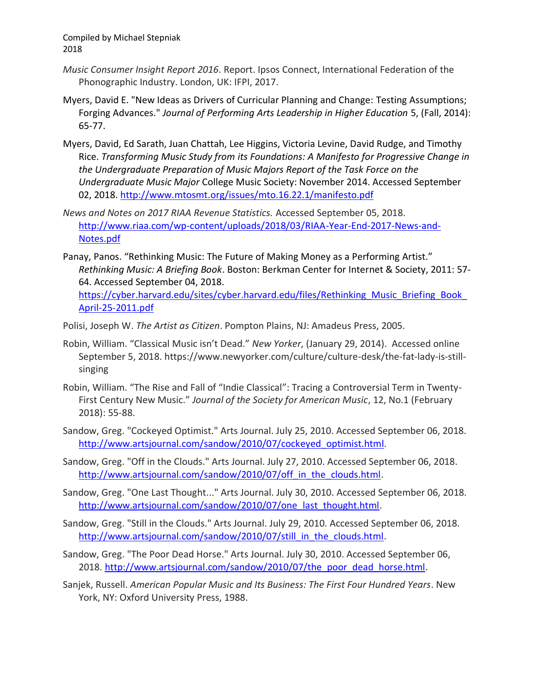- *Music Consumer Insight Report 2016*. Report. Ipsos Connect, International Federation of the Phonographic Industry. London, UK: IFPI, 2017.
- Myers, David E. "New Ideas as Drivers of Curricular Planning and Change: Testing Assumptions; Forging Advances." *Journal of Performing Arts Leadership in Higher Education* 5, (Fall, 2014): 65-77.
- Myers, David, Ed Sarath, Juan Chattah, Lee Higgins, Victoria Levine, David Rudge, and Timothy Rice. *Transforming Music Study from its Foundations: A Manifesto for Progressive Change in the Undergraduate Preparation of Music Majors Report of the Task Force on the Undergraduate Music Major* College Music Society: November 2014. Accessed September 02, 2018.<http://www.mtosmt.org/issues/mto.16.22.1/manifesto.pdf>
- *News and Notes on 2017 RIAA Revenue Statistics.* Accessed September 05, 2018. [http://www.riaa.com/wp-content/uploads/2018/03/RIAA-Year-End-2017-News-and-](http://www.riaa.com/wp-content/uploads/2018/03/RIAA-Year-End-2017-News-and-Notes.pdf)[Notes.pdf](http://www.riaa.com/wp-content/uploads/2018/03/RIAA-Year-End-2017-News-and-Notes.pdf)
- Panay, Panos. "Rethinking Music: The Future of Making Money as a Performing Artist." *Rethinking Music: A Briefing Book*. Boston: Berkman Center for Internet & Society, 2011: 57- 64. Accessed September 04, 2018. https://cyber.harvard.edu/sites/cyber.harvard.edu/files/Rethinking\_Music\_Briefing\_Book
	- [April-25-2011.pdf](https://cyber.harvard.edu/sites/cyber.harvard.edu/files/Rethinking_Music_Briefing_Book_April-25-2011.pdf)
- Polisi, Joseph W. *The Artist as Citizen*. Pompton Plains, NJ: Amadeus Press, 2005.
- Robin, William. "Classical Music isn't Dead." *New Yorker*, (January 29, 2014). Accessed online September 5, 2018. https://www.newyorker.com/culture/culture-desk/the-fat-lady-is-stillsinging
- Robin, William. "The Rise and Fall of "Indie Classical": Tracing a Controversial Term in Twenty-First Century New Music." *Journal of the Society for American Music*, 12, No.1 (February 2018): 55-88.
- Sandow, Greg. "Cockeyed Optimist." Arts Journal. July 25, 2010. Accessed September 06, 2018. [http://www.artsjournal.com/sandow/2010/07/cockeyed\\_optimist.html.](http://www.artsjournal.com/sandow/2010/07/cockeyed_optimist.html)
- Sandow, Greg. "Off in the Clouds." Arts Journal. July 27, 2010. Accessed September 06, 2018. http://www.artsjournal.com/sandow/2010/07/off in the clouds.html.
- Sandow, Greg. "One Last Thought..." Arts Journal. July 30, 2010. Accessed September 06, 2018. [http://www.artsjournal.com/sandow/2010/07/one\\_last\\_thought.html.](http://www.artsjournal.com/sandow/2010/07/one_last_thought.html)
- Sandow, Greg. "Still in the Clouds." Arts Journal. July 29, 2010. Accessed September 06, 2018. [http://www.artsjournal.com/sandow/2010/07/still\\_in\\_the\\_clouds.html.](http://www.artsjournal.com/sandow/2010/07/still_in_the_clouds.html)
- Sandow, Greg. "The Poor Dead Horse." Arts Journal. July 30, 2010. Accessed September 06, 2018. [http://www.artsjournal.com/sandow/2010/07/the\\_poor\\_dead\\_horse.html.](http://www.artsjournal.com/sandow/2010/07/the_poor_dead_horse.html)
- Sanjek, Russell. *American Popular Music and Its Business: The First Four Hundred Years*. New York, NY: Oxford University Press, 1988.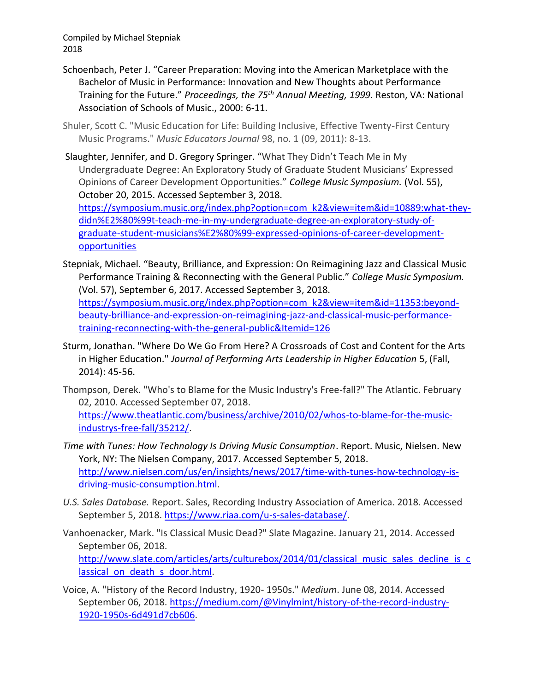Compiled by Michael Stepniak 2018

- Schoenbach, Peter J. "Career Preparation: Moving into the American Marketplace with the Bachelor of Music in Performance: Innovation and New Thoughts about Performance Training for the Future." *Proceedings, the 75th Annual Meeting, 1999.* Reston, VA: National Association of Schools of Music., 2000: 6-11.
- Shuler, Scott C. "Music Education for Life: Building Inclusive, Effective Twenty-First Century Music Programs." *Music Educators Journal* 98, no. 1 (09, 2011): 8-13.
- Slaughter, Jennifer, and D. Gregory Springer. "What They Didn't Teach Me in My Undergraduate Degree: An Exploratory Study of Graduate Student Musicians' Expressed Opinions of Career Development Opportunities." *College Music Symposium.* (Vol. 55), October 20, 2015. Accessed September 3, 2018.

[https://symposium.music.org/index.php?option=com\\_k2&view=item&id=10889:what-they](https://symposium.music.org/index.php?option=com_k2&view=item&id=10889:what-they-didn%E2%80%99t-teach-me-in-my-undergraduate-degree-an-exploratory-study-of-graduate-student-musicians%E2%80%99-expressed-opinions-of-career-development-opportunities)[didn%E2%80%99t-teach-me-in-my-undergraduate-degree-an-exploratory-study-of](https://symposium.music.org/index.php?option=com_k2&view=item&id=10889:what-they-didn%E2%80%99t-teach-me-in-my-undergraduate-degree-an-exploratory-study-of-graduate-student-musicians%E2%80%99-expressed-opinions-of-career-development-opportunities)[graduate-student-musicians%E2%80%99-expressed-opinions-of-career-development](https://symposium.music.org/index.php?option=com_k2&view=item&id=10889:what-they-didn%E2%80%99t-teach-me-in-my-undergraduate-degree-an-exploratory-study-of-graduate-student-musicians%E2%80%99-expressed-opinions-of-career-development-opportunities)[opportunities](https://symposium.music.org/index.php?option=com_k2&view=item&id=10889:what-they-didn%E2%80%99t-teach-me-in-my-undergraduate-degree-an-exploratory-study-of-graduate-student-musicians%E2%80%99-expressed-opinions-of-career-development-opportunities)

- Stepniak, Michael. "Beauty, Brilliance, and Expression: On Reimagining Jazz and Classical Music Performance Training & Reconnecting with the General Public." *College Music Symposium.*  (Vol. 57), September 6, 2017. Accessed September 3, 2018. [https://symposium.music.org/index.php?option=com\\_k2&view=item&id=11353:beyond](https://symposium.music.org/index.php?option=com_k2&view=item&id=11353:beyond-beauty-brilliance-and-expression-on-reimagining-jazz-and-classical-music-performance-training-reconnecting-with-the-general-public&Itemid=126)[beauty-brilliance-and-expression-on-reimagining-jazz-and-classical-music-performance](https://symposium.music.org/index.php?option=com_k2&view=item&id=11353:beyond-beauty-brilliance-and-expression-on-reimagining-jazz-and-classical-music-performance-training-reconnecting-with-the-general-public&Itemid=126)[training-reconnecting-with-the-general-public&Itemid=126](https://symposium.music.org/index.php?option=com_k2&view=item&id=11353:beyond-beauty-brilliance-and-expression-on-reimagining-jazz-and-classical-music-performance-training-reconnecting-with-the-general-public&Itemid=126)
- Sturm, Jonathan. "Where Do We Go From Here? A Crossroads of Cost and Content for the Arts in Higher Education." *Journal of Performing Arts Leadership in Higher Education* 5, (Fall, 2014): 45-56.
- Thompson, Derek. "Who's to Blame for the Music Industry's Free-fall?" The Atlantic. February 02, 2010. Accessed September 07, 2018. [https://www.theatlantic.com/business/archive/2010/02/whos-to-blame-for-the-music](https://www.theatlantic.com/business/archive/2010/02/whos-to-blame-for-the-music-industrys-free-fall/35212/)[industrys-free-fall/35212/.](https://www.theatlantic.com/business/archive/2010/02/whos-to-blame-for-the-music-industrys-free-fall/35212/)
- *Time with Tunes: How Technology Is Driving Music Consumption*. Report. Music, Nielsen. New York, NY: The Nielsen Company, 2017. Accessed September 5, 2018. [http://www.nielsen.com/us/en/insights/news/2017/time-with-tunes-how-technology-is](http://www.nielsen.com/us/en/insights/news/2017/time-with-tunes-how-technology-is-driving-music-consumption.html)[driving-music-consumption.html.](http://www.nielsen.com/us/en/insights/news/2017/time-with-tunes-how-technology-is-driving-music-consumption.html)
- *U.S. Sales Database.* Report. Sales, Recording Industry Association of America. 2018. Accessed September 5, 2018. [https://www.riaa.com/u-s-sales-database/.](https://www.riaa.com/u-s-sales-database/)
- Vanhoenacker, Mark. "Is Classical Music Dead?" Slate Magazine. January 21, 2014. Accessed September 06, 2018. [http://www.slate.com/articles/arts/culturebox/2014/01/classical\\_music\\_sales\\_decline\\_is\\_c](http://www.slate.com/articles/arts/culturebox/2014/01/classical_music_sales_decline_is_classical_on_death_s_door.html) lassical on death s door.html.
- Voice, A. "History of the Record Industry, 1920- 1950s." *Medium*. June 08, 2014. Accessed September 06, 2018. [https://medium.com/@Vinylmint/history-of-the-record-industry-](https://medium.com/@Vinylmint/history-of-the-record-industry-1920-1950s-6d491d7cb606)[1920-1950s-6d491d7cb606.](https://medium.com/@Vinylmint/history-of-the-record-industry-1920-1950s-6d491d7cb606)